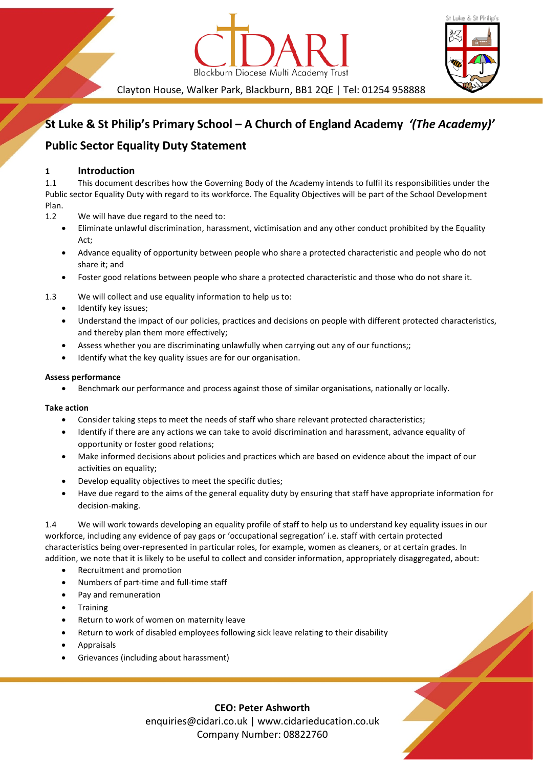



Clayton House, Walker Park, Blackburn, BB1 2QE | Tel: 01254 958888

## **St Luke & St Philip's Primary School – A Church of England Academy** *'(The Academy)'*

## **Public Sector Equality Duty Statement**

### **1 Introduction**

1.1 This document describes how the Governing Body of the Academy intends to fulfil its responsibilities under the Public sector Equality Duty with regard to its workforce. The Equality Objectives will be part of the School Development Plan.

- 1.2 We will have due regard to the need to:
	- Eliminate unlawful discrimination, harassment, victimisation and any other conduct prohibited by the Equality Act;
	- Advance equality of opportunity between people who share a protected characteristic and people who do not share it; and
	- Foster good relations between people who share a protected characteristic and those who do not share it.
- 1.3 We will collect and use equality information to help us to:
	- Identify key issues;
	- Understand the impact of our policies, practices and decisions on people with different protected characteristics, and thereby plan them more effectively;
	- Assess whether you are discriminating unlawfully when carrying out any of our functions;;
	- Identify what the key quality issues are for our organisation.

#### **Assess performance**

• Benchmark our performance and process against those of similar organisations, nationally or locally.

#### **Take action**

- Consider taking steps to meet the needs of staff who share relevant protected characteristics;
- Identify if there are any actions we can take to avoid discrimination and harassment, advance equality of opportunity or foster good relations;
- Make informed decisions about policies and practices which are based on evidence about the impact of our activities on equality;
- Develop equality objectives to meet the specific duties;
- Have due regard to the aims of the general equality duty by ensuring that staff have appropriate information for decision-making.

1.4 We will work towards developing an equality profile of staff to help us to understand key equality issues in our workforce, including any evidence of pay gaps or 'occupational segregation' i.e. staff with certain protected characteristics being over-represented in particular roles, for example, women as cleaners, or at certain grades. In addition, we note that it is likely to be useful to collect and consider information, appropriately disaggregated, about:

- Recruitment and promotion
- Numbers of part-time and full-time staff
- Pay and remuneration
- **Training**
- Return to work of women on maternity leave
- Return to work of disabled employees following sick leave relating to their disability
- Appraisals
- Grievances (including about harassment)

**CEO: Peter Ashworth** enquiries@cidari.co.uk | www.cidarieducation.co.uk Company Number: 08822760